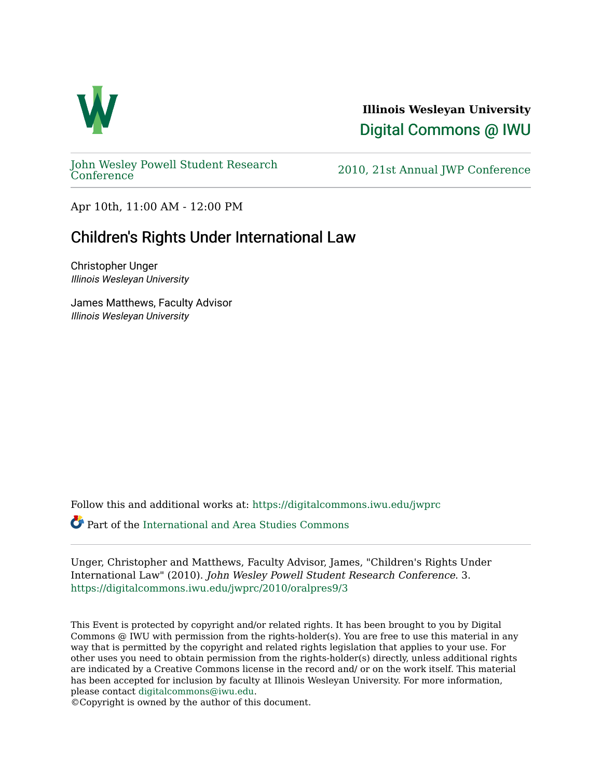

**Illinois Wesleyan University**  [Digital Commons @ IWU](https://digitalcommons.iwu.edu/) 

[John Wesley Powell Student Research](https://digitalcommons.iwu.edu/jwprc) 

2010, 21st Annual JWP [Conference](https://digitalcommons.iwu.edu/jwprc)

Apr 10th, 11:00 AM - 12:00 PM

## Children's Rights Under International Law

Christopher Unger Illinois Wesleyan University

James Matthews, Faculty Advisor Illinois Wesleyan University

Follow this and additional works at: [https://digitalcommons.iwu.edu/jwprc](https://digitalcommons.iwu.edu/jwprc?utm_source=digitalcommons.iwu.edu%2Fjwprc%2F2010%2Foralpres9%2F3&utm_medium=PDF&utm_campaign=PDFCoverPages) 

Part of the [International and Area Studies Commons](http://network.bepress.com/hgg/discipline/360?utm_source=digitalcommons.iwu.edu%2Fjwprc%2F2010%2Foralpres9%2F3&utm_medium=PDF&utm_campaign=PDFCoverPages)

Unger, Christopher and Matthews, Faculty Advisor, James, "Children's Rights Under International Law" (2010). John Wesley Powell Student Research Conference. 3. [https://digitalcommons.iwu.edu/jwprc/2010/oralpres9/3](https://digitalcommons.iwu.edu/jwprc/2010/oralpres9/3?utm_source=digitalcommons.iwu.edu%2Fjwprc%2F2010%2Foralpres9%2F3&utm_medium=PDF&utm_campaign=PDFCoverPages)

This Event is protected by copyright and/or related rights. It has been brought to you by Digital Commons @ IWU with permission from the rights-holder(s). You are free to use this material in any way that is permitted by the copyright and related rights legislation that applies to your use. For other uses you need to obtain permission from the rights-holder(s) directly, unless additional rights are indicated by a Creative Commons license in the record and/ or on the work itself. This material has been accepted for inclusion by faculty at Illinois Wesleyan University. For more information, please contact [digitalcommons@iwu.edu.](mailto:digitalcommons@iwu.edu)

©Copyright is owned by the author of this document.